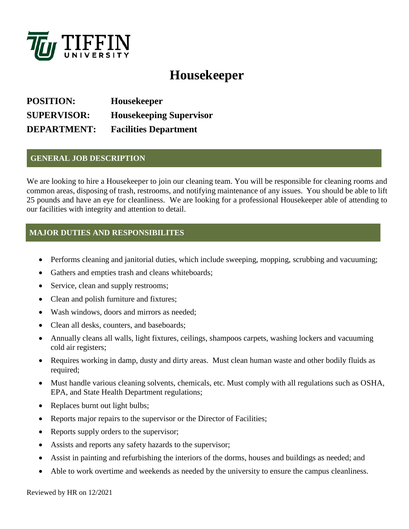

# **Housekeeper**

**POSITION: Housekeeper SUPERVISOR: Housekeeping Supervisor DEPARTMENT: Facilities Department**

### **GENERAL JOB DESCRIPTION**

We are looking to hire a Housekeeper to join our cleaning team. You will be responsible for cleaning rooms and common areas, disposing of trash, restrooms, and notifying maintenance of any issues. You should be able to lift 25 pounds and have an eye for cleanliness. We are looking for a professional Housekeeper able of attending to our facilities with integrity and attention to detail.

## **MAJOR DUTIES AND RESPONSIBILITES**

- Performs cleaning and janitorial duties, which include sweeping, mopping, scrubbing and vacuuming;
- Gathers and empties trash and cleans whiteboards;
- Service, clean and supply restrooms;
- Clean and polish furniture and fixtures;
- Wash windows, doors and mirrors as needed;
- Clean all desks, counters, and baseboards;
- Annually cleans all walls, light fixtures, ceilings, shampoos carpets, washing lockers and vacuuming cold air registers;
- Requires working in damp, dusty and dirty areas. Must clean human waste and other bodily fluids as required;
- Must handle various cleaning solvents, chemicals, etc. Must comply with all regulations such as OSHA, EPA, and State Health Department regulations;
- Replaces burnt out light bulbs;
- Reports major repairs to the supervisor or the Director of Facilities;
- Reports supply orders to the supervisor;
- Assists and reports any safety hazards to the supervisor;
- Assist in painting and refurbishing the interiors of the dorms, houses and buildings as needed; and
- Able to work overtime and weekends as needed by the university to ensure the campus cleanliness.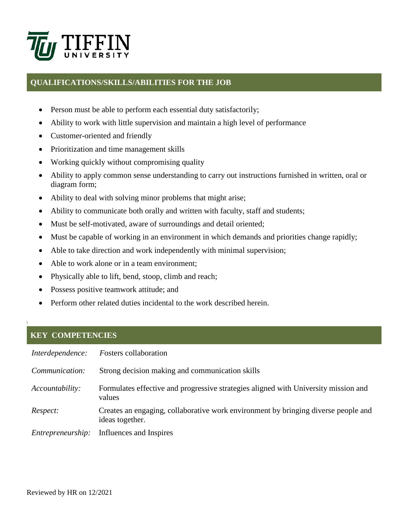

#### **QUALIFICATIONS/SKILLS/ABILITIES FOR THE JOB**

- Person must be able to perform each essential duty satisfactorily;
- Ability to work with little supervision and maintain a high level of performance
- Customer-oriented and friendly
- Prioritization and time management skills
- Working quickly without compromising quality
- Ability to apply common sense understanding to carry out instructions furnished in written, oral or diagram form;
- Ability to deal with solving minor problems that might arise;
- Ability to communicate both orally and written with faculty, staff and students;
- Must be self-motivated, aware of surroundings and detail oriented;
- Must be capable of working in an environment in which demands and priorities change rapidly;
- Able to take direction and work independently with minimal supervision;
- Able to work alone or in a team environment;
- Physically able to lift, bend, stoop, climb and reach;
- Possess positive teamwork attitude; and
- Perform other related duties incidental to the work described herein.

#### **KEY COMPETENCIES**

\

| Interdependence:  | <b>Fosters</b> collaboration                                                                          |
|-------------------|-------------------------------------------------------------------------------------------------------|
| Communication:    | Strong decision making and communication skills                                                       |
| Accountability:   | Formulates effective and progressive strategies aligned with University mission and<br>values         |
| Respect:          | Creates an engaging, collaborative work environment by bringing diverse people and<br>ideas together. |
| Entrepreneurship: | Influences and Inspires                                                                               |